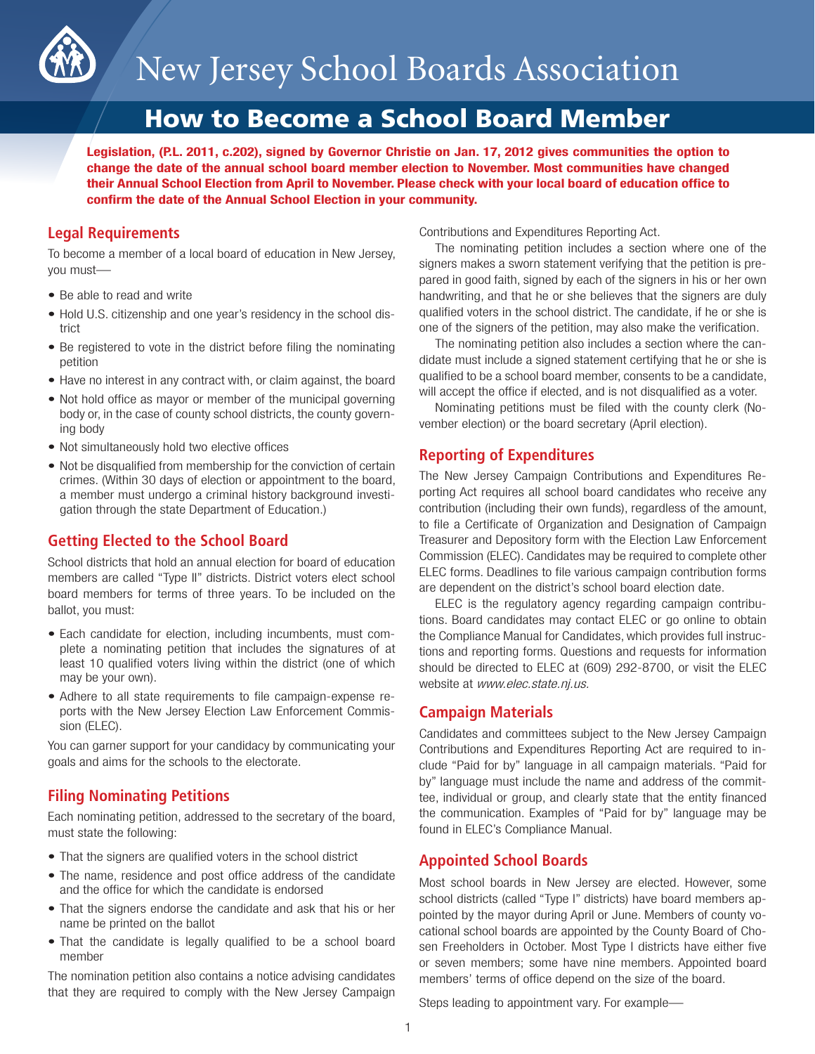

# How to Become a School Board Member

**Legislation, (P.L. 2011, c.202), signed by Governor Christie on Jan. 17, 2012 gives communities the option to change the date of the annual school board member election to November. Most communities have changed their Annual School Election from April to November. Please check with your local board of education office to confirm the date of the Annual School Election in your community.**

# **Legal Requirements**

To become a member of a local board of education in New Jersey, you must—

- Be able to read and write
- Hold U.S. citizenship and one year's residency in the school district
- Be registered to vote in the district before filing the nominating petition
- Have no interest in any contract with, or claim against, the board
- Not hold office as mayor or member of the municipal governing body or, in the case of county school districts, the county governing body
- Not simultaneously hold two elective offices
- Not be disqualified from membership for the conviction of certain crimes. (Within 30 days of election or appointment to the board, a member must undergo a criminal history background investigation through the state Department of Education.)

# **Getting Elected to the School Board**

School districts that hold an annual election for board of education members are called "Type II" districts. District voters elect school board members for terms of three years. To be included on the ballot, you must:

- Each candidate for election, including incumbents, must complete a nominating petition that includes the signatures of at least 10 qualified voters living within the district (one of which may be your own).
- Adhere to all state requirements to file campaign-expense reports with the New Jersey Election Law Enforcement Commission (ELEC).

You can garner support for your candidacy by communicating your goals and aims for the schools to the electorate.

# **Filing Nominating Petitions**

Each nominating petition, addressed to the secretary of the board, must state the following:

- That the signers are qualified voters in the school district
- The name, residence and post office address of the candidate and the office for which the candidate is endorsed
- That the signers endorse the candidate and ask that his or her name be printed on the ballot
- That the candidate is legally qualified to be a school board member

The nomination petition also contains a notice advising candidates that they are required to comply with the New Jersey Campaign Contributions and Expenditures Reporting Act.

The nominating petition includes a section where one of the signers makes a sworn statement verifying that the petition is prepared in good faith, signed by each of the signers in his or her own handwriting, and that he or she believes that the signers are duly qualified voters in the school district. The candidate, if he or she is one of the signers of the petition, may also make the verification.

The nominating petition also includes a section where the candidate must include a signed statement certifying that he or she is qualified to be a school board member, consents to be a candidate, will accept the office if elected, and is not disqualified as a voter.

Nominating petitions must be filed with the county clerk (November election) or the board secretary (April election).

# **Reporting of Expenditures**

The New Jersey Campaign Contributions and Expenditures Reporting Act requires all school board candidates who receive any contribution (including their own funds), regardless of the amount, to file a Certificate of Organization and Designation of Campaign Treasurer and Depository form with the Election Law Enforcement Commission (ELEC). Candidates may be required to complete other ELEC forms. Deadlines to file various campaign contribution forms are dependent on the district's school board election date.

ELEC is the regulatory agency regarding campaign contributions. Board candidates may contact ELEC or go online to obtain the Compliance Manual for Candidates, which provides full instructions and reporting forms. Questions and requests for information should be directed to ELEC at (609) 292-8700, or visit the ELEC website at *www.elec.state.nj.us.*

# **Campaign Materials**

Candidates and committees subject to the New Jersey Campaign Contributions and Expenditures Reporting Act are required to include "Paid for by" language in all campaign materials. "Paid for by" language must include the name and address of the committee, individual or group, and clearly state that the entity financed the communication. Examples of "Paid for by" language may be found in ELEC's Compliance Manual.

# **Appointed School Boards**

Most school boards in New Jersey are elected. However, some school districts (called "Type I" districts) have board members appointed by the mayor during April or June. Members of county vocational school boards are appointed by the County Board of Chosen Freeholders in October. Most Type I districts have either five or seven members; some have nine members. Appointed board members' terms of office depend on the size of the board.

Steps leading to appointment vary. For example—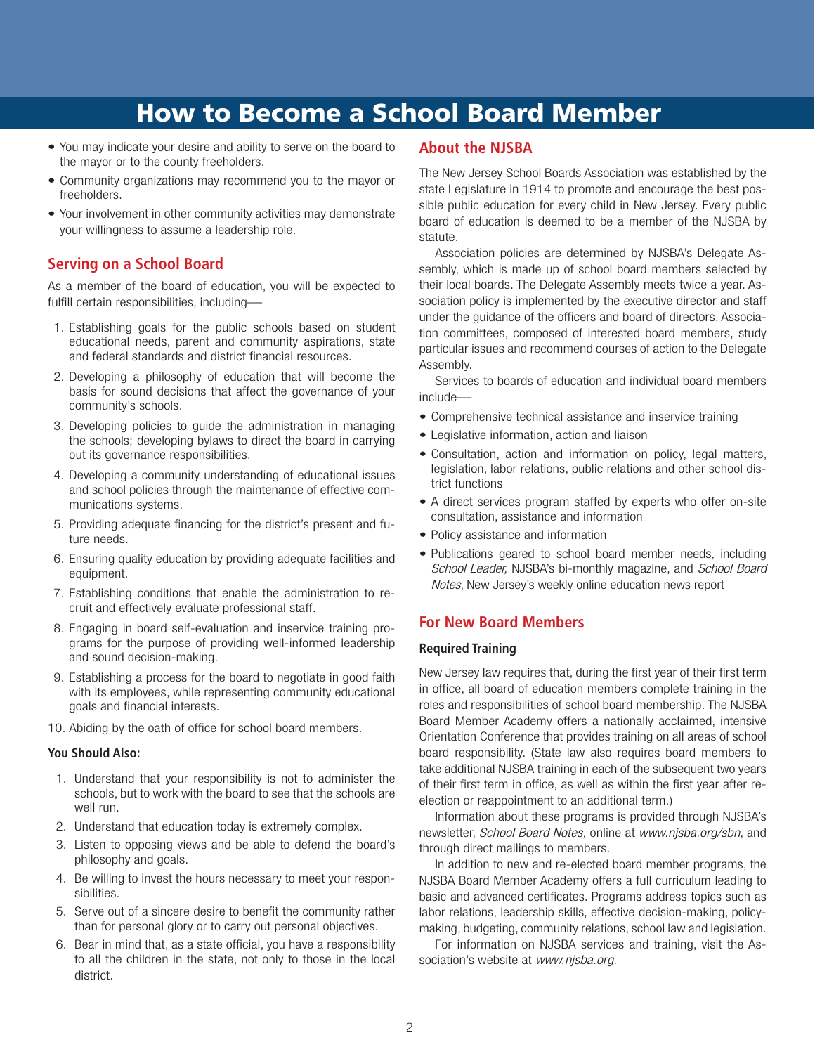# How to Become a School Board Member

- You may indicate your desire and ability to serve on the board to the mayor or to the county freeholders.
- Community organizations may recommend you to the mayor or freeholders.
- Your involvement in other community activities may demonstrate your willingness to assume a leadership role.

# **Serving on a School Board**

As a member of the board of education, you will be expected to fulfill certain responsibilities, including—

- 1. Establishing goals for the public schools based on student educational needs, parent and community aspirations, state and federal standards and district financial resources.
- 2. Developing a philosophy of education that will become the basis for sound decisions that affect the governance of your community's schools.
- 3. Developing policies to guide the administration in managing the schools; developing bylaws to direct the board in carrying out its governance responsibilities.
- 4. Developing a community understanding of educational issues and school policies through the maintenance of effective communications systems.
- 5. Providing adequate financing for the district's present and future needs.
- 6. Ensuring quality education by providing adequate facilities and equipment.
- 7. Establishing conditions that enable the administration to recruit and effectively evaluate professional staff.
- 8. Engaging in board self-evaluation and inservice training programs for the purpose of providing well-informed leadership and sound decision-making.
- 9. Establishing a process for the board to negotiate in good faith with its employees, while representing community educational goals and financial interests.
- 10. Abiding by the oath of office for school board members.

## **You Should Also:**

- 1. Understand that your responsibility is not to administer the schools, but to work with the board to see that the schools are well run.
- 2. Understand that education today is extremely complex.
- 3. Listen to opposing views and be able to defend the board's philosophy and goals.
- 4. Be willing to invest the hours necessary to meet your responsibilities.
- 5. Serve out of a sincere desire to benefit the community rather than for personal glory or to carry out personal objectives.
- 6. Bear in mind that, as a state official, you have a responsibility to all the children in the state, not only to those in the local district.

## **About the NJSBA**

The New Jersey School Boards Association was established by the state Legislature in 1914 to promote and encourage the best possible public education for every child in New Jersey. Every public board of education is deemed to be a member of the NJSBA by statute.

Association policies are determined by NJSBA's Delegate Assembly, which is made up of school board members selected by their local boards. The Delegate Assembly meets twice a year. Association policy is implemented by the executive director and staff under the guidance of the officers and board of directors. Association committees, composed of interested board members, study particular issues and recommend courses of action to the Delegate Assembly.

Services to boards of education and individual board members include—

- Comprehensive technical assistance and inservice training
- Legislative information, action and liaison
- Consultation, action and information on policy, legal matters, legislation, labor relations, public relations and other school district functions
- A direct services program staffed by experts who offer on-site consultation, assistance and information
- Policy assistance and information
- Publications geared to school board member needs, including *School Leader,* NJSBA's bi-monthly magazine, and *School Board Notes*, New Jersey's weekly online education news report

# **For New Board Members**

## **Required Training**

New Jersey law requires that, during the first year of their first term in office, all board of education members complete training in the roles and responsibilities of school board membership. The NJSBA Board Member Academy offers a nationally acclaimed, intensive Orientation Conference that provides training on all areas of school board responsibility. (State law also requires board members to take additional NJSBA training in each of the subsequent two years of their first term in office, as well as within the first year after reelection or reappointment to an additional term.)

Information about these programs is provided through NJSBA's newsletter, *School Board Notes,* online at www.njsba.org/sbn, and through direct mailings to members.

In addition to new and re-elected board member programs, the NJSBA Board Member Academy offers a full curriculum leading to basic and advanced certificates. Programs address topics such as labor relations, leadership skills, effective decision-making, policymaking, budgeting, community relations, school law and legislation.

For information on NJSBA services and training, visit the Association's website at *www.njsba.org.*